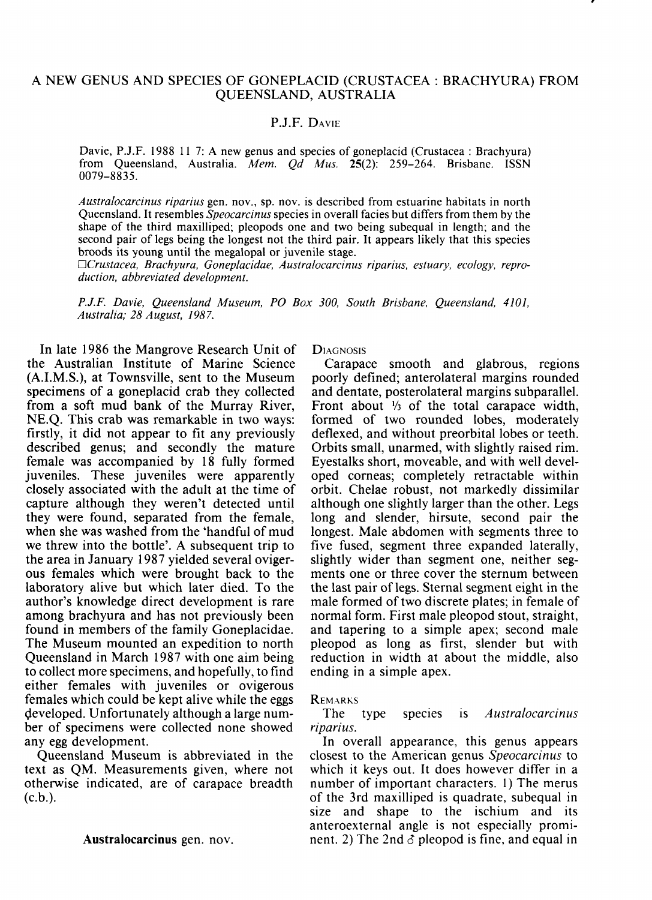## A NEW GENUS AND SPECIES OF GONEPLACID (CRUSTACEA BRACHYURA) FROM QUEENSLAND, AUSTRALIA

# P.J.F. DAVIE

Davie, P.J.F. 1988 11 7: A new genus and species of goneplacid (Crustacea : Brachyura) from Queensland, Australia. *Mem. Qd Mus.* 25(2): 259-264. Brisbane. ISSN 0079-8835.

*Australocarcinus riparius* gen. nov., sp. nov. is described from estuarine habitats in north Queensland. It resembles *Speocarcinus* species in overall facies but differs from them by the shape of the third maxilliped; pleopods one and two being subequal in length; and the second pair of legs being the longest not the third pair. It appears likely that this species broods its young until the megalopal or juvenile stage.

*nCrustacea, Brachyura, Goneplacidae, Australocarcinus riparius, estuary, ecology, reproduction, abbreviated development.* 

*P.J.F. Davie, Queensland Museum, PO Box 300, South Brisbane, Queensland, 4101, Australia; 28 August, 1987.* 

In late 1986 the Mangrove Research Unit of the Australian Institute of Marine Science (A.I.M.S.), at Townsville, sent to the Museum specimens of a goneplacid crab they collected from a soft mud bank of the Murray River, NE.Q. This crab was remarkable in two ways: firstly, it did not appear to fit any previously described genus; and secondly the mature female was accompanied by 18 fully formed juveniles. These juveniles were apparently closely associated with the adult at the time of capture although they weren't detected until they were found, separated from the female, when she was washed from the 'handful of mud we threw into the bottle'. A subsequent trip to the area in January 1987 yielded several ovigerous females which were brought back to the laboratory alive but which later died. To the author's knowledge direct development is rare among brachyura and has not previously been found in members of the family Goneplacidae. The Museum mounted an expedition to north Queensland in March 1987 with one aim being to collect more specimens, and hopefully, to find either females with juveniles or ovigerous females which could be kept alive while the eggs developed. Unfortunately although a large number of specimens were collected none showed any egg development.

Queensland Museum is abbreviated in the text as QM. Measurements given, where not otherwise indicated, are of carapace breadth  $(c.b.).$ 

#### **Australocarcinus** gen. nov.

**DIAGNOSIS** 

Carapace smooth and glabrous, regions poorly defined; anterolateral margins rounded and dentate, posterolateral margins subparallel. Front about  $\frac{1}{3}$  of the total carapace width, formed of two rounded lobes, moderately deflexed, and without preorbital lobes or teeth. Orbits small, unarmed, with slightly raised rim. Eyestalks short, moveable, and with well developed corneas; completely retractable within orbit. Chelae robust, not markedly dissimilar although one slightly larger than the other. Legs long and slender, hirsute, second pair the longest. Male abdomen with segments three to five fused, segment three expanded laterally, slightly wider than segment one, neither segments one or three cover the sternum between the last pair of legs. Sternal segment eight in the male formed of two discrete plates; in female of normal form. First male pleopod stout, straight, and tapering to a simple apex; second male pleopod as long as first, slender but with reduction in width at about the middle, also ending in a simple apex.

### REMARKS

The type species is *Australocarcinus riparius.* 

In overall appearance, this genus appears closest to the American genus *Speocarcinus* to which it keys out. It does however differ in a number of important characters. 1) The merus of the 3rd maxilliped is quadrate, subequal in size and shape to the ischium and its anteroexternal angle is not especially prominent. 2) The 2nd *6* pleopod is fine, and equal in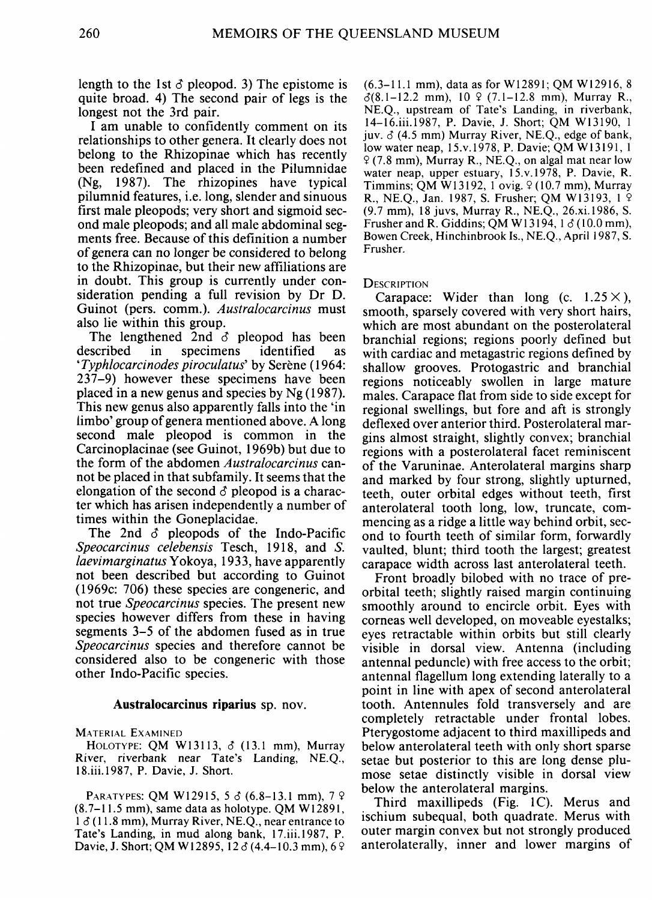length to the 1st  $\delta$  pleopod. 3) The epistome is quite broad. 4) The second pair of legs is the longest not the 3rd pair.

I am unable to confidently comment on its relationships to other genera. It clearly does not belong to the Rhizopinae which has recently been redefined and placed in the Pilumnidae (Ng, 1987). The rhizopines have typical pilumnid features, i.e. long, slender and sinuous first male pleopods; very short and sigmoid second male pleopods; and all male abdominal segments free. Because of this definition a number of genera can no longer be considered to belong to the Rhizopinae, but their new affiliations are in doubt. This group is currently under consideration pending a full revision by Dr D. Guinot (pers. comm.). *Australocarcinus* must also lie within this group.

The lengthened 2nd *S* pleopod has been described in specimens identified as *'Typhlocarcinodes piroculatus'* by Serene (1964: 237-9) however these specimens have been placed in a new genus and species by Ng (1987). This new genus also apparently falls into the 'in limbo' group of genera mentioned above. A long second male pleopod is common in the Carcinoplacinae (see Guinot, 1969b) but due to the form of the abdomen *Australocarcinus* cannot be placed in that subfamily. It seems that the elongation of the second  $\delta$  pleopod is a character which has arisen independently a number of times within the Goneplacidae.

The 2nd *6* pleopods of the Indo-Pacific *Speocarcinus celebensis* Tesch, 1918, and *S. laevimarginatusYokoya,* 1933, have apparently not been described but according to Guinot (1969c: 706) these species are congeneric, and not true *Speocarcinus* species. The present new species however differs from these in having segments 3-5 of the abdomen fused as in true *Speocarcinus* species and therefore cannot be considered also to be congeneric with those other Indo-Pacific species.

### **Australocarcinus riparius** sp. nov.

MATERIAL EXAMINED

HOLOTYPE: QM W131I3, *6* (13.1 mm), Murray River, riverbank near Tate's Landing, NE.Q., 18.iii.l987, P. Davie, J. Short.

PARATYPES: QM W12915, 5  $\delta$  (6.8-13.1 mm), 7  $\circ$ (8.7-11.5 mm), same data as holotype. QM W12891,  $1 \delta$  (11.8 mm), Murray River, NE.Q., near entrance to Tate's Landing, in mud along bank, 17.iii.l987, P. Davie, J. Short; QM W12895, 12  $\delta$  (4.4-10.3 mm), 6  $\circ$ 

 $(6.3-11.1 \text{ mm})$ , data as for W12891; QM W12916, 8  $\delta(8.1 - 12.2 \text{ mm})$ ,  $10 \text{ }$  (7.1-12.8 mm), Murray R., NE.Q., upstream of Tate's Landing, in riverbank, [14-16.iii.1987,](http://14-16.iii.1987) P. Davie, J. Short; QM W13190, 1 juv. *6* (4.5 mm) Murray River, NE.Q., edge of bank, low water neap, 15.v. 1978, P. Davie; QM W13191, 1  $9$  (7.8 mm), Murray R., NE.Q., on algal mat near low water neap, upper estuary, 15.v. 1978, P. Davie, R. Timmins; QM W13192, 1 ovig. 9 (10.7 mm), Murray R., NE.Q., Jan. 1987, S. Frusher; QM W13193, 1 9 (9.7 mm), 18 juvs, Murray R., NE.Q., [26.xi.1986,](http://26.xi.1986) S. Frusher and R. Giddins; QM W13194,  $1 \delta$  (10.0 mm), Bowen Creek, Hinchinbrook Is., NE.Q., April 1987, S. Frusher.

#### **DESCRIPTION**

Carapace: Wider than long (c.  $1.25 \times$ ), smooth, sparsely covered with very short hairs, which are most abundant on the posterolateral branchial regions; regions poorly defined but with cardiac and metagastric regions defined by shallow grooves. Protogastric and branchial regions noticeably swollen in large mature males. Carapace flat from side to side except for regional swellings, but fore and aft is strongly deflexed over anterior third. Posterolateral margins almost straight, slightly convex; branchial regions with a posterolateral facet reminiscent of the Varuninae. Anterolateral margins sharp and marked by four strong, slightly upturned, teeth, outer orbital edges without teeth, first anterolateral tooth long, low, truncate, commencing as a ridge a little way behind orbit, second to fourth teeth of similar form, forwardly vaulted, blunt; third tooth the largest; greatest carapace width across last anterolateral teeth.

Front broadly bilobed with no trace of preorbital teeth; slightly raised margin continuing smoothly around to encircle orbit. Eyes with corneas well developed, on moveable eyestalks; eyes retractable within orbits but still clearly visible in dorsal view. Antenna (including antennal peduncle) with free access to the orbit; antennal flagellum long extending laterally to a point in line with apex of second anterolateral tooth. Antennules fold transversely and are completely retractable under frontal lobes. Pterygostome adjacent to third maxillipeds and below anterolateral teeth with only short sparse setae but posterior to this are long dense plumose setae distinctly visible in dorsal view below the anterolateral margins.

Third maxillipeds (Fig. IC). Merus and ischium subequal, both quadrate. Merus with outer margin convex but not strongly produced anterolaterally, inner and lower margins of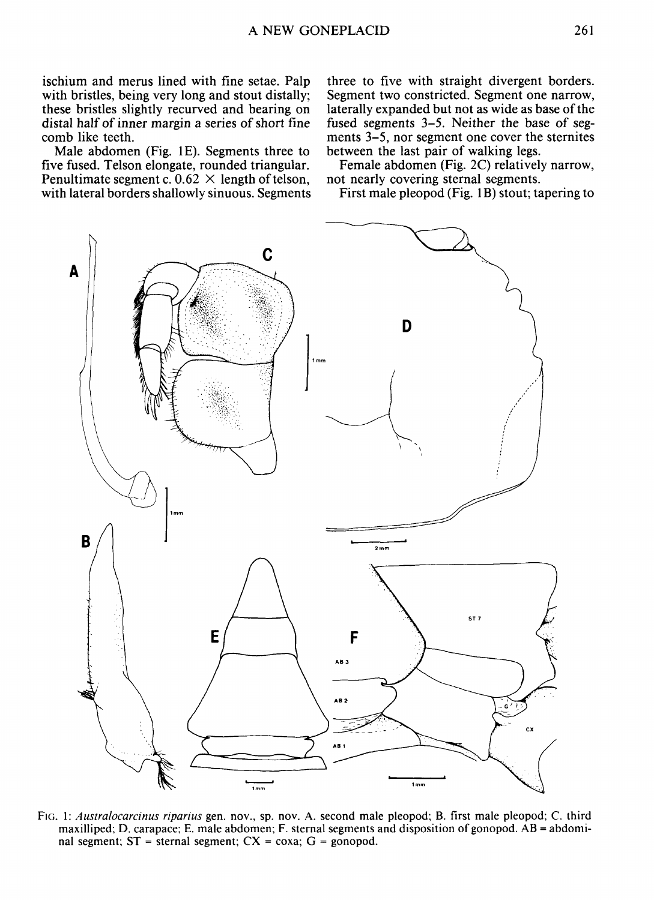ischium and merus lined with fine setae. Palp with bristles, being very long and stout distally; these bristles slightly recurved and bearing on distal half of inner margin a series of short fine comb like teeth.

Male abdomen (Fig. IE). Segments three to five fused. Telson elongate, rounded triangular. Penultimate segment c.  $0.62 \times$  length of telson, with lateral borders shallowly sinuous. Segments

three to five with straight divergent borders. Segment two constricted. Segment one narrow, laterally expanded but not as wide as base of the fused segments 3-5. Neither the base of segments 3-5, nor segment one cover the sternites between the last pair of walking legs.

Female abdomen (Fig. 2C) relatively narrow, not nearly covering sternal segments.

First male pleopod (Fig. 1B) stout; tapering to



FIG. 1: *Australocarcinus riparius* gen. nov., sp. nov. A. second male pleopod; B. first male pleopod; C. third maxilliped; D. carapace; E. male abdomen; F. sternal segments and disposition of gonopod. AB = abdominal segment;  $ST$  = sternal segment;  $CX$  = coxa;  $G$  = gonopod.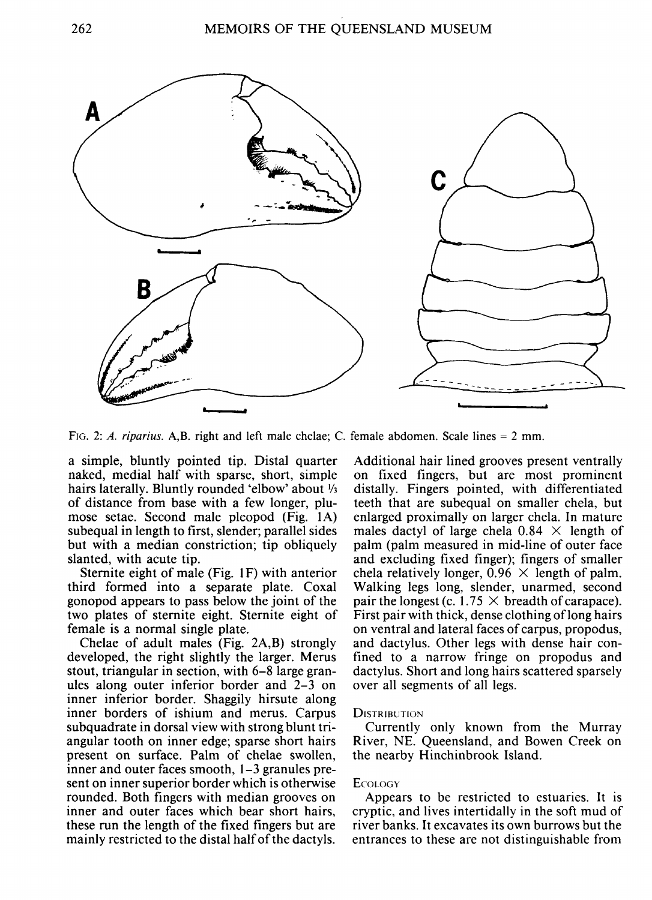

FIG. 2: *A. riparius.* A,B. right and left male chelae; C. female abdomen. Scale lines = 2 mm.

a simple, bluntly pointed tip. Distal quarter naked, medial half with sparse, short, simple hairs laterally. Bluntly rounded 'elbow' about  $\frac{1}{3}$ of distance from base with a few longer, plumose setae. Second male pleopod (Fig. lA) subequal in length to first, slender; parallel sides but with a median constriction; tip obliquely slanted, with acute tip.

Sternite eight of male (Fig. 1F) with anterior third formed into a separate plate. Coxal gonopod appears to pass below the joint of the two plates of sternite eight. Sternite eight of female is a normal single plate.

Chelae of adult males (Fig. 2A,B) strongly developed, the right slightly the larger. Merus stout, triangular in section, with 6-8 large granules along outer inferior border and 2-3 on inner inferior border. Shaggily hirsute along inner borders of ishium and merus. Carpus subquadrate in dorsal view with strong blunt triangular tooth on inner edge; sparse short hairs present on surface. Palm of chelae swollen, inner and outer faces smooth, 1-3 granules present on inner superior border which is otherwise rounded. Both fingers with median grooves on inner and outer faces which bear short hairs, these run the length of the fixed fingers but are mainly restricted to the distal half of the dactyls.

Additional hair lined grooves present ventrally on fixed fingers, but are most prominent distally. Fingers pointed, with differentiated teeth that are subequal on smaller chela, but enlarged proximally on larger chela. In mature males dactyl of large chela  $0.84 \times$  length of palm (palm measured in mid-line of outer face and excluding fixed finger); fingers of smaller chela relatively longer,  $0.96 \times$  length of palm. Walking legs long, slender, unarmed, second pair the longest (c. 1.75  $\times$  breadth of carapace). First pair with thick, dense clothing of long hairs on ventral and lateral faces of carpus, propodus, and dactylus. Other legs with dense hair confined to a narrow fringe on propodus and dactylus. Short and long hairs scattered sparsely over all segments of all legs.

## **DISTRIBUTION**

Currently only known from the Murray River, NE. Queensland, and Bowen Creek on the nearby Hinchinbrook Island.

### **E**COLOGY

Appears to be restricted to estuaries. It is cryptic, and lives intertidally in the soft mud of river banks. It excavates its own burrows but the entrances to these are not distinguishable from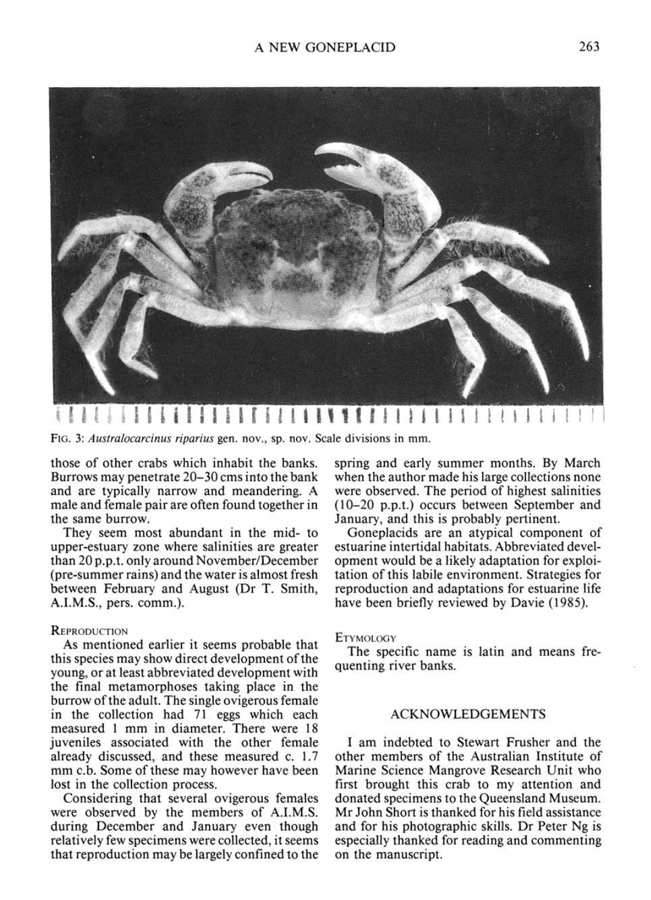

**{IiI i i i i i i11iIi11 1 111f 1111 f I t i ! n H I i i i I H** 

FIG. 3: *Austmlocarcinus riparius* gen. nov., sp. nov. Scale divisions in mm.

those of other crabs which inhabit the banks. Burrows may penetrate 20-30 cms into the bank and are typically narrow and meandering. A male and female pair are often found together in the same burrow.

They seem most abundant in the mid- to upper-estuary zone where salinities are greater than 20 p.p.t. only around November/December (pre-summer rains) and the water is almost fresh between February and August (Dr T. Smith, A.I.M.S., pers. comm.).

#### **REPRODUCTION**

As mentioned earlier it seems probable that this species may show direct development of the young, or at least abbreviated development with the final metamorphoses taking place in the burrow of the adult. The single ovigerous female in the collection had 71 eggs which each measured 1 mm in diameter. There were 18 juveniles associated with the other female already discussed, and these measured c. 1.7 mm c.b. Some of these may however have been lost in the collection process.

Considering that several ovigerous females were observed by the members of A.I.M.S. during December and January even though relatively few specimens were collected, it seems that reproduction may be largely confined to the spring and early summer months. By March when the author made his large collections none were observed. The period of highest salinities (10-20 p.p.t.) occurs between September and January, and this is probably pertinent.

Goneplacids are an atypical component of estuarine intertidal habitats. Abbreviated development would be a likely adaptation for exploitation of this labile environment. Strategies for reproduction and adaptations for estuarine life have been briefly reviewed by Davie (1985).

## **ETYMOLOGY**

The specific name is latin and means frequenting river banks.

## ACKNOWLEDGEMENTS

I am indebted to Stewart Frusher and the other members of the Australian Institute of Marine Science Mangrove Research Unit who first brought this crab to my attention and donated specimens to the Queensland Museum. Mr John Short is thanked for his field assistance and for his photographic skills. Dr Peter Ng is especially thanked for reading and commenting on the manuscript.